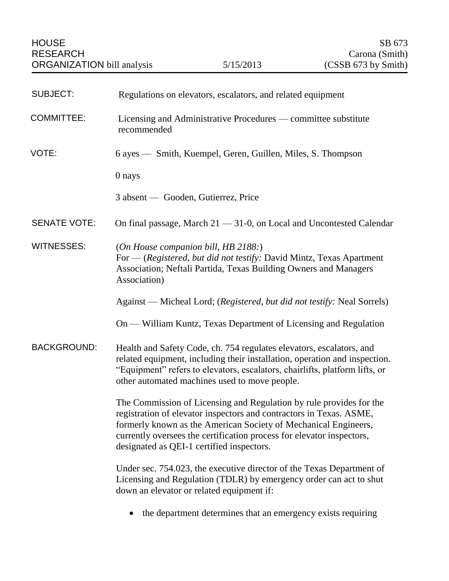| <b>SUBJECT:</b>     | Regulations on elevators, escalators, and related equipment                                                                                                                                                                                                                                                                         |
|---------------------|-------------------------------------------------------------------------------------------------------------------------------------------------------------------------------------------------------------------------------------------------------------------------------------------------------------------------------------|
| <b>COMMITTEE:</b>   | Licensing and Administrative Procedures — committee substitute<br>recommended                                                                                                                                                                                                                                                       |
| VOTE:               | 6 ayes — Smith, Kuempel, Geren, Guillen, Miles, S. Thompson                                                                                                                                                                                                                                                                         |
|                     | 0 nays                                                                                                                                                                                                                                                                                                                              |
|                     | 3 absent — Gooden, Gutierrez, Price                                                                                                                                                                                                                                                                                                 |
| <b>SENATE VOTE:</b> | On final passage, March $21 - 31 - 0$ , on Local and Uncontested Calendar                                                                                                                                                                                                                                                           |
| <b>WITNESSES:</b>   | (On House companion bill, HB2188.)<br>For — (Registered, but did not testify: David Mintz, Texas Apartment<br>Association; Neftali Partida, Texas Building Owners and Managers<br>Association)                                                                                                                                      |
|                     | Against — Micheal Lord; (Registered, but did not testify: Neal Sorrels)                                                                                                                                                                                                                                                             |
|                     | On — William Kuntz, Texas Department of Licensing and Regulation                                                                                                                                                                                                                                                                    |
| <b>BACKGROUND:</b>  | Health and Safety Code, ch. 754 regulates elevators, escalators, and<br>related equipment, including their installation, operation and inspection.<br>"Equipment" refers to elevators, escalators, chairlifts, platform lifts, or<br>other automated machines used to move people.                                                  |
|                     | The Commission of Licensing and Regulation by rule provides for the<br>registration of elevator inspectors and contractors in Texas. ASME,<br>formerly known as the American Society of Mechanical Engineers,<br>currently oversees the certification process for elevator inspectors,<br>designated as QEI-1 certified inspectors. |
|                     | Under sec. 754.023, the executive director of the Texas Department of<br>Licensing and Regulation (TDLR) by emergency order can act to shut<br>down an elevator or related equipment if:                                                                                                                                            |
|                     |                                                                                                                                                                                                                                                                                                                                     |

• the department determines that an emergency exists requiring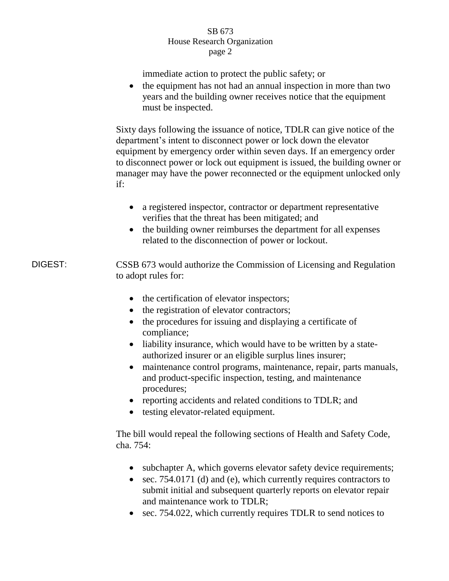immediate action to protect the public safety; or

• the equipment has not had an annual inspection in more than two years and the building owner receives notice that the equipment must be inspected.

Sixty days following the issuance of notice, TDLR can give notice of the department's intent to disconnect power or lock down the elevator equipment by emergency order within seven days. If an emergency order to disconnect power or lock out equipment is issued, the building owner or manager may have the power reconnected or the equipment unlocked only if:

- a registered inspector, contractor or department representative verifies that the threat has been mitigated; and
- the building owner reimburses the department for all expenses related to the disconnection of power or lockout.

DIGEST: CSSB 673 would authorize the Commission of Licensing and Regulation to adopt rules for:

- the certification of elevator inspectors;
- the registration of elevator contractors;
- the procedures for issuing and displaying a certificate of compliance;
- liability insurance, which would have to be written by a stateauthorized insurer or an eligible surplus lines insurer;
- maintenance control programs, maintenance, repair, parts manuals, and product-specific inspection, testing, and maintenance procedures;
- reporting accidents and related conditions to TDLR; and
- testing elevator-related equipment.

The bill would repeal the following sections of Health and Safety Code, cha. 754:

- subchapter A, which governs elevator safety device requirements;
- sec. 754.0171 (d) and (e), which currently requires contractors to submit initial and subsequent quarterly reports on elevator repair and maintenance work to TDLR;
- sec. 754.022, which currently requires TDLR to send notices to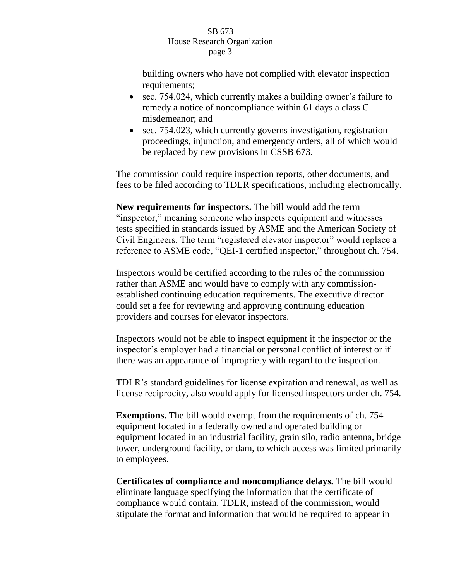building owners who have not complied with elevator inspection requirements;

- sec. 754.024, which currently makes a building owner's failure to remedy a notice of noncompliance within 61 days a class C misdemeanor; and
- sec. 754.023, which currently governs investigation, registration proceedings, injunction, and emergency orders, all of which would be replaced by new provisions in CSSB 673.

The commission could require inspection reports, other documents, and fees to be filed according to TDLR specifications, including electronically.

**New requirements for inspectors.** The bill would add the term "inspector," meaning someone who inspects equipment and witnesses tests specified in standards issued by ASME and the American Society of Civil Engineers. The term "registered elevator inspector" would replace a reference to ASME code, "QEI-1 certified inspector," throughout ch. 754.

Inspectors would be certified according to the rules of the commission rather than ASME and would have to comply with any commissionestablished continuing education requirements. The executive director could set a fee for reviewing and approving continuing education providers and courses for elevator inspectors.

Inspectors would not be able to inspect equipment if the inspector or the inspector's employer had a financial or personal conflict of interest or if there was an appearance of impropriety with regard to the inspection.

TDLR's standard guidelines for license expiration and renewal, as well as license reciprocity, also would apply for licensed inspectors under ch. 754.

**Exemptions.** The bill would exempt from the requirements of ch. 754 equipment located in a federally owned and operated building or equipment located in an industrial facility, grain silo, radio antenna, bridge tower, underground facility, or dam, to which access was limited primarily to employees.

**Certificates of compliance and noncompliance delays.** The bill would eliminate language specifying the information that the certificate of compliance would contain. TDLR, instead of the commission, would stipulate the format and information that would be required to appear in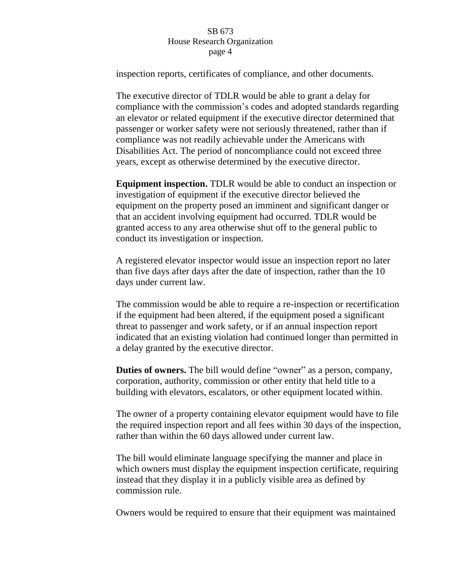inspection reports, certificates of compliance, and other documents.

The executive director of TDLR would be able to grant a delay for compliance with the commission's codes and adopted standards regarding an elevator or related equipment if the executive director determined that passenger or worker safety were not seriously threatened, rather than if compliance was not readily achievable under the Americans with Disabilities Act. The period of noncompliance could not exceed three years, except as otherwise determined by the executive director.

**Equipment inspection.** TDLR would be able to conduct an inspection or investigation of equipment if the executive director believed the equipment on the property posed an imminent and significant danger or that an accident involving equipment had occurred. TDLR would be granted access to any area otherwise shut off to the general public to conduct its investigation or inspection.

A registered elevator inspector would issue an inspection report no later than five days after days after the date of inspection, rather than the 10 days under current law.

The commission would be able to require a re-inspection or recertification if the equipment had been altered, if the equipment posed a significant threat to passenger and work safety, or if an annual inspection report indicated that an existing violation had continued longer than permitted in a delay granted by the executive director.

**Duties of owners.** The bill would define "owner" as a person, company, corporation, authority, commission or other entity that held title to a building with elevators, escalators, or other equipment located within.

The owner of a property containing elevator equipment would have to file the required inspection report and all fees within 30 days of the inspection, rather than within the 60 days allowed under current law.

The bill would eliminate language specifying the manner and place in which owners must display the equipment inspection certificate, requiring instead that they display it in a publicly visible area as defined by commission rule.

Owners would be required to ensure that their equipment was maintained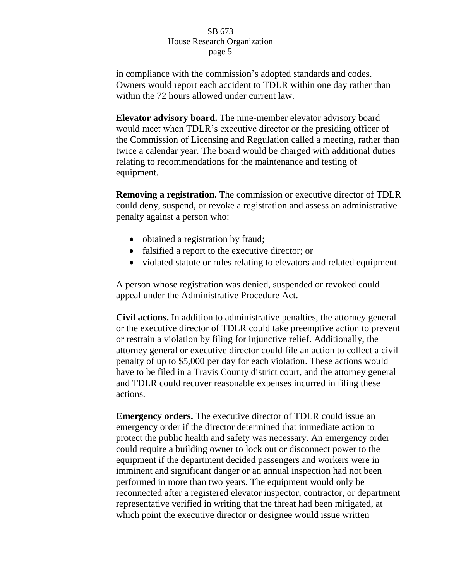in compliance with the commission's adopted standards and codes. Owners would report each accident to TDLR within one day rather than within the 72 hours allowed under current law.

**Elevator advisory board.** The nine-member elevator advisory board would meet when TDLR's executive director or the presiding officer of the Commission of Licensing and Regulation called a meeting, rather than twice a calendar year. The board would be charged with additional duties relating to recommendations for the maintenance and testing of equipment.

**Removing a registration.** The commission or executive director of TDLR could deny, suspend, or revoke a registration and assess an administrative penalty against a person who:

- obtained a registration by fraud;
- falsified a report to the executive director; or
- violated statute or rules relating to elevators and related equipment.

A person whose registration was denied, suspended or revoked could appeal under the Administrative Procedure Act.

**Civil actions.** In addition to administrative penalties, the attorney general or the executive director of TDLR could take preemptive action to prevent or restrain a violation by filing for injunctive relief. Additionally, the attorney general or executive director could file an action to collect a civil penalty of up to \$5,000 per day for each violation. These actions would have to be filed in a Travis County district court, and the attorney general and TDLR could recover reasonable expenses incurred in filing these actions.

**Emergency orders.** The executive director of TDLR could issue an emergency order if the director determined that immediate action to protect the public health and safety was necessary. An emergency order could require a building owner to lock out or disconnect power to the equipment if the department decided passengers and workers were in imminent and significant danger or an annual inspection had not been performed in more than two years. The equipment would only be reconnected after a registered elevator inspector, contractor, or department representative verified in writing that the threat had been mitigated, at which point the executive director or designee would issue written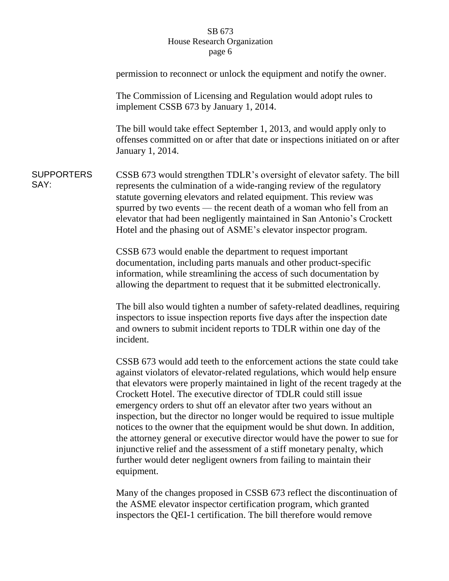|                           | permission to reconnect or unlock the equipment and notify the owner.                                                                                                                                                                                                                                                                                                                                                                                                                                                                                                                                                                                                                                                                                                                      |
|---------------------------|--------------------------------------------------------------------------------------------------------------------------------------------------------------------------------------------------------------------------------------------------------------------------------------------------------------------------------------------------------------------------------------------------------------------------------------------------------------------------------------------------------------------------------------------------------------------------------------------------------------------------------------------------------------------------------------------------------------------------------------------------------------------------------------------|
|                           | The Commission of Licensing and Regulation would adopt rules to<br>implement CSSB 673 by January 1, 2014.                                                                                                                                                                                                                                                                                                                                                                                                                                                                                                                                                                                                                                                                                  |
|                           | The bill would take effect September 1, 2013, and would apply only to<br>offenses committed on or after that date or inspections initiated on or after<br>January 1, 2014.                                                                                                                                                                                                                                                                                                                                                                                                                                                                                                                                                                                                                 |
| <b>SUPPORTERS</b><br>SAY: | CSSB 673 would strengthen TDLR's oversight of elevator safety. The bill<br>represents the culmination of a wide-ranging review of the regulatory<br>statute governing elevators and related equipment. This review was<br>spurred by two events — the recent death of a woman who fell from an<br>elevator that had been negligently maintained in San Antonio's Crockett<br>Hotel and the phasing out of ASME's elevator inspector program.                                                                                                                                                                                                                                                                                                                                               |
|                           | CSSB 673 would enable the department to request important<br>documentation, including parts manuals and other product-specific<br>information, while streamlining the access of such documentation by<br>allowing the department to request that it be submitted electronically.                                                                                                                                                                                                                                                                                                                                                                                                                                                                                                           |
|                           | The bill also would tighten a number of safety-related deadlines, requiring<br>inspectors to issue inspection reports five days after the inspection date<br>and owners to submit incident reports to TDLR within one day of the<br>incident.                                                                                                                                                                                                                                                                                                                                                                                                                                                                                                                                              |
|                           | CSSB 673 would add teeth to the enforcement actions the state could take<br>against violators of elevator-related regulations, which would help ensure<br>that elevators were properly maintained in light of the recent tragedy at the<br>Crockett Hotel. The executive director of TDLR could still issue<br>emergency orders to shut off an elevator after two years without an<br>inspection, but the director no longer would be required to issue multiple<br>notices to the owner that the equipment would be shut down. In addition,<br>the attorney general or executive director would have the power to sue for<br>injunctive relief and the assessment of a stiff monetary penalty, which<br>further would deter negligent owners from failing to maintain their<br>equipment. |
|                           | Many of the changes proposed in CSSB 673 reflect the discontinuation of                                                                                                                                                                                                                                                                                                                                                                                                                                                                                                                                                                                                                                                                                                                    |

the ASME elevator inspector certification program, which granted inspectors the QEI-1 certification. The bill therefore would remove